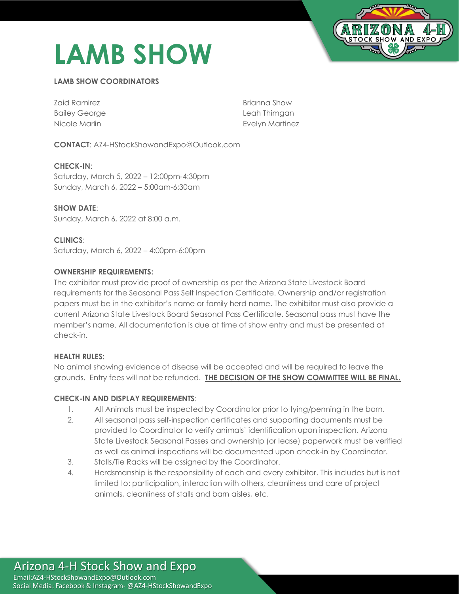# **LAMB SHOW**



### **LAMB SHOW COORDINATORS**

| Zaid Ramirez         | Brianna Show    |
|----------------------|-----------------|
| <b>Bailey George</b> | Leah Thimgan    |
| Nicole Marlin        | Evelyn Martinez |

**CONTACT**: AZ4-HStockShowandExpo@Outlook.com

**CHECK-IN**: Saturday, March 5, 2022 – 12:00pm-4:30pm Sunday, March 6, 2022 – 5:00am-6:30am

**SHOW DATE**: Sunday, March 6, 2022 at 8:00 a.m.

**CLINICS**: Saturday, March 6, 2022 – 4:00pm-6:00pm

#### **OWNERSHIP REQUIREMENTS:**

The exhibitor must provide proof of ownership as per the Arizona State Livestock Board requirements for the Seasonal Pass Self Inspection Certificate. Ownership and/or registration papers must be in the exhibitor's name or family herd name. The exhibitor must also provide a current Arizona State Livestock Board Seasonal Pass Certificate. Seasonal pass must have the member's name. All documentation is due at time of show entry and must be presented at check-in.

#### **HEALTH RULES:**

No animal showing evidence of disease will be accepted and will be required to leave the grounds. Entry fees will not be refunded. **THE DECISION OF THE SHOW COMMITTEE WILL BE FINAL.**

#### **CHECK-IN AND DISPLAY REQUIREMENTS**:

- 1. All Animals must be inspected by Coordinator prior to tying/penning in the barn.
- 2. All seasonal pass self-inspection certificates and supporting documents must be provided to Coordinator to verify animals' identification upon inspection. Arizona State Livestock Seasonal Passes and ownership (or lease) paperwork must be verified as well as animal inspections will be documented upon check-in by Coordinator.
- 3. Stalls/Tie Racks will be assigned by the Coordinator.
- 4. Herdsmanship is the responsibility of each and every exhibitor. This includes but is not limited to: participation, interaction with others, cleanliness and care of project animals, cleanliness of stalls and barn aisles, etc.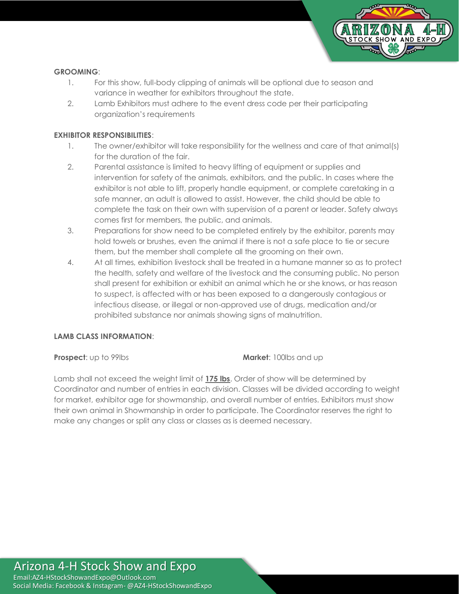

#### **GROOMING**:

- 1. For this show, full-body clipping of animals will be optional due to season and variance in weather for exhibitors throughout the state.
- 2. Lamb Exhibitors must adhere to the event dress code per their participating organization's requirements

#### **EXHIBITOR RESPONSIBILITIES**:

- 1. The owner/exhibitor will take responsibility for the wellness and care of that animal(s) for the duration of the fair.
- 2. Parental assistance is limited to heavy lifting of equipment or supplies and intervention for safety of the animals, exhibitors, and the public. In cases where the exhibitor is not able to lift, properly handle equipment, or complete caretaking in a safe manner, an adult is allowed to assist. However, the child should be able to complete the task on their own with supervision of a parent or leader. Safety always comes first for members, the public, and animals.
- 3. Preparations for show need to be completed entirely by the exhibitor, parents may hold towels or brushes, even the animal if there is not a safe place to tie or secure them, but the member shall complete all the grooming on their own.
- 4. At all times, exhibition livestock shall be treated in a humane manner so as to protect the health, safety and welfare of the livestock and the consuming public. No person shall present for exhibition or exhibit an animal which he or she knows, or has reason to suspect, is affected with or has been exposed to a dangerously contagious or infectious disease, or illegal or non-approved use of drugs, medication and/or prohibited substance nor animals showing signs of malnutrition.

#### **LAMB CLASS INFORMATION**:

**Prospect**: up to 99lbs **Market**: 100lbs and up

Lamb shall not exceed the weight limit of **175 lbs**. Order of show will be determined by Coordinator and number of entries in each division. Classes will be divided according to weight for market, exhibitor age for showmanship, and overall number of entries. Exhibitors must show their own animal in Showmanship in order to participate. The Coordinator reserves the right to make any changes or split any class or classes as is deemed necessary.